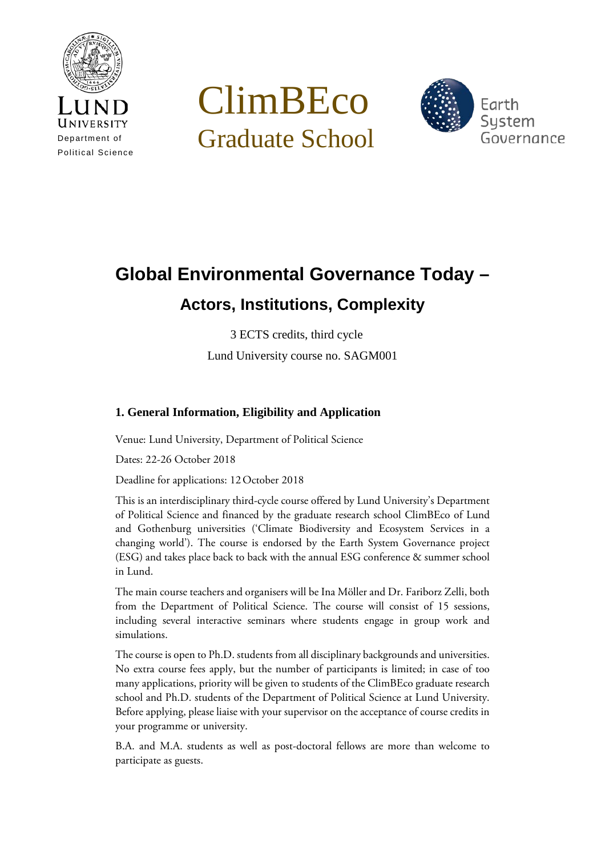

# ClimBEco Graduate School



## **Global Environmental Governance Today – Actors, Institutions, Complexity**

3 ECTS credits, third cycle Lund University course no. SAGM001

### **1. General Information, Eligibility and Application**

Venue: Lund University, Department of Political Science

Dates: 22-26 October 2018

Deadline for applications: 12October 2018

This is an interdisciplinary third-cycle course offered by Lund University's Department of Political Science and financed by the graduate research school ClimBEco of Lund and Gothenburg universities ('Climate Biodiversity and Ecosystem Services in a changing world'). The course is endorsed by the Earth System Governance project (ESG) and takes place back to back with the annual ESG conference & summer school in Lund.

The main course teachers and organisers will be Ina Möller and Dr. Fariborz Zelli, both from the Department of Political Science. The course will consist of 15 sessions, including several interactive seminars where students engage in group work and simulations.

The course is open to Ph.D. students from all disciplinary backgrounds and universities. No extra course fees apply, but the number of participants is limited; in case of too many applications, priority will be given to students of the ClimBEco graduate research school and Ph.D. students of the Department of Political Science at Lund University. Before applying, please liaise with your supervisor on the acceptance of course credits in your programme or university.

B.A. and M.A. students as well as post-doctoral fellows are more than welcome to participate as guests.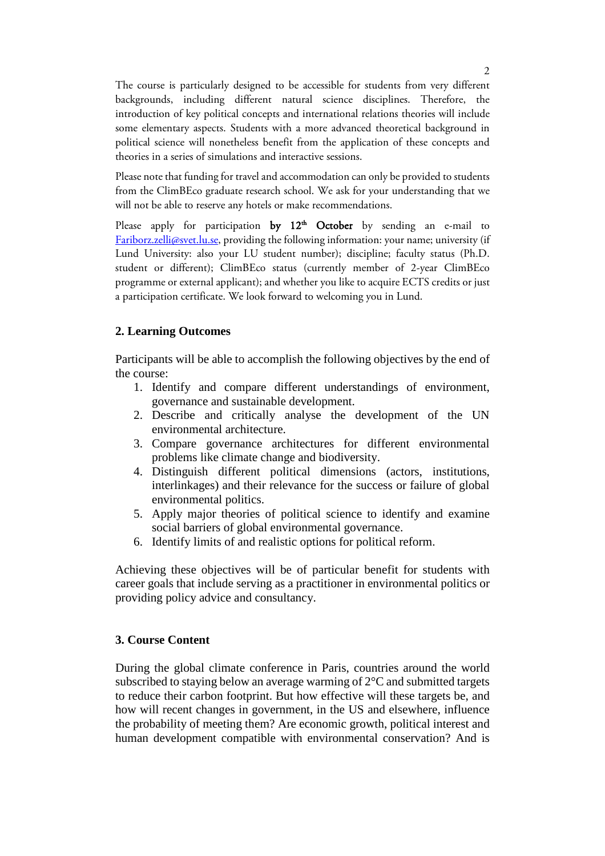The course is particularly designed to be accessible for students from very different backgrounds, including different natural science disciplines. Therefore, the introduction of key political concepts and international relations theories will include some elementary aspects. Students with a more advanced theoretical background in political science will nonetheless benefit from the application of these concepts and theories in a series of simulations and interactive sessions.

Please note that funding for travel and accommodation can only be provided to students from the ClimBEco graduate research school. We ask for your understanding that we will not be able to reserve any hotels or make recommendations.

Please apply for participation by  $12<sup>th</sup>$  October by sending an e-mail to [Fariborz.zelli@svet.lu.se,](mailto:Fariborz.zelli@svet.lu.se) providing the following information: your name; university (if Lund University: also your LU student number); discipline; faculty status (Ph.D. student or different); ClimBEco status (currently member of 2-year ClimBEco programme or external applicant); and whether you like to acquire ECTS credits or just a participation certificate. We look forward to welcoming you in Lund.

#### **2. Learning Outcomes**

Participants will be able to accomplish the following objectives by the end of the course:

- 1. Identify and compare different understandings of environment, governance and sustainable development.
- 2. Describe and critically analyse the development of the UN environmental architecture.
- 3. Compare governance architectures for different environmental problems like climate change and biodiversity.
- 4. Distinguish different political dimensions (actors, institutions, interlinkages) and their relevance for the success or failure of global environmental politics.
- 5. Apply major theories of political science to identify and examine social barriers of global environmental governance.
- 6. Identify limits of and realistic options for political reform.

Achieving these objectives will be of particular benefit for students with career goals that include serving as a practitioner in environmental politics or providing policy advice and consultancy.

#### **3. Course Content**

During the global climate conference in Paris, countries around the world subscribed to staying below an average warming of 2°C and submitted targets to reduce their carbon footprint. But how effective will these targets be, and how will recent changes in government, in the US and elsewhere, influence the probability of meeting them? Are economic growth, political interest and human development compatible with environmental conservation? And is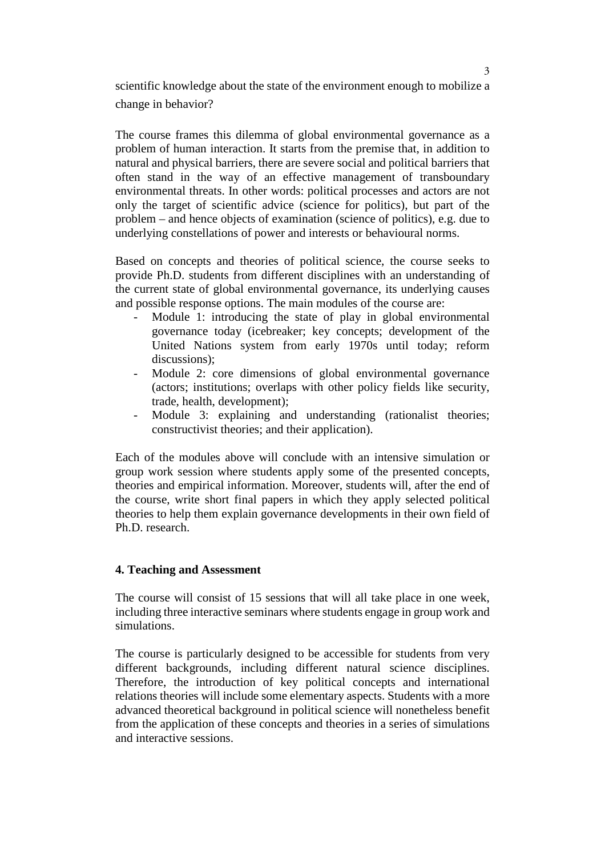scientific knowledge about the state of the environment enough to mobilize a change in behavior?

The course frames this dilemma of global environmental governance as a problem of human interaction. It starts from the premise that, in addition to natural and physical barriers, there are severe social and political barriers that often stand in the way of an effective management of transboundary environmental threats. In other words: political processes and actors are not only the target of scientific advice (science for politics), but part of the problem – and hence objects of examination (science of politics), e.g. due to underlying constellations of power and interests or behavioural norms.

Based on concepts and theories of political science, the course seeks to provide Ph.D. students from different disciplines with an understanding of the current state of global environmental governance, its underlying causes and possible response options. The main modules of the course are:

- Module 1: introducing the state of play in global environmental governance today (icebreaker; key concepts; development of the United Nations system from early 1970s until today; reform discussions);
- Module 2: core dimensions of global environmental governance (actors; institutions; overlaps with other policy fields like security, trade, health, development);
- Module 3: explaining and understanding (rationalist theories; constructivist theories; and their application).

Each of the modules above will conclude with an intensive simulation or group work session where students apply some of the presented concepts, theories and empirical information. Moreover, students will, after the end of the course, write short final papers in which they apply selected political theories to help them explain governance developments in their own field of Ph.D. research.

#### **4. Teaching and Assessment**

The course will consist of 15 sessions that will all take place in one week, including three interactive seminars where students engage in group work and simulations.

The course is particularly designed to be accessible for students from very different backgrounds, including different natural science disciplines. Therefore, the introduction of key political concepts and international relations theories will include some elementary aspects. Students with a more advanced theoretical background in political science will nonetheless benefit from the application of these concepts and theories in a series of simulations and interactive sessions.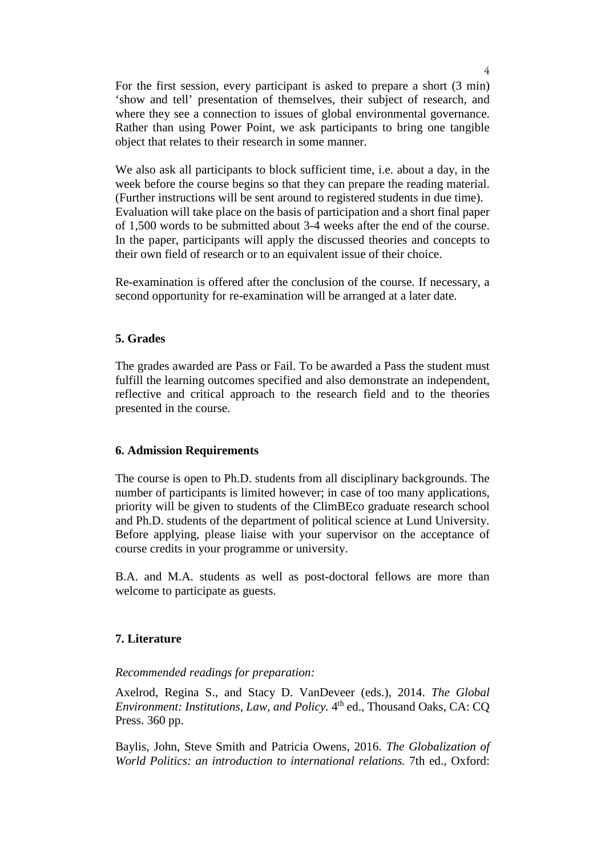For the first session, every participant is asked to prepare a short (3 min) 'show and tell' presentation of themselves, their subject of research, and where they see a connection to issues of global environmental governance. Rather than using Power Point, we ask participants to bring one tangible object that relates to their research in some manner.

We also ask all participants to block sufficient time, i.e. about a day, in the week before the course begins so that they can prepare the reading material. (Further instructions will be sent around to registered students in due time). Evaluation will take place on the basis of participation and a short final paper of 1,500 words to be submitted about 3-4 weeks after the end of the course. In the paper, participants will apply the discussed theories and concepts to their own field of research or to an equivalent issue of their choice.

Re-examination is offered after the conclusion of the course. If necessary, a second opportunity for re-examination will be arranged at a later date.

#### **5. Grades**

The grades awarded are Pass or Fail. To be awarded a Pass the student must fulfill the learning outcomes specified and also demonstrate an independent, reflective and critical approach to the research field and to the theories presented in the course.

#### **6. Admission Requirements**

The course is open to Ph.D. students from all disciplinary backgrounds. The number of participants is limited however; in case of too many applications, priority will be given to students of the ClimBEco graduate research school and Ph.D. students of the department of political science at Lund University. Before applying, please liaise with your supervisor on the acceptance of course credits in your programme or university.

B.A. and M.A. students as well as post-doctoral fellows are more than welcome to participate as guests.

#### **7. Literature**

#### *Recommended readings for preparation:*

Axelrod, Regina S., and Stacy D. VanDeveer (eds.), 2014. *The Global Environment: Institutions, Law, and Policy.* 4<sup>th</sup> ed., Thousand Oaks, CA: CQ Press. 360 pp.

Baylis, John, Steve Smith and Patricia Owens, 2016. *The Globalization of World Politics: an introduction to international relations.* 7th ed., Oxford: